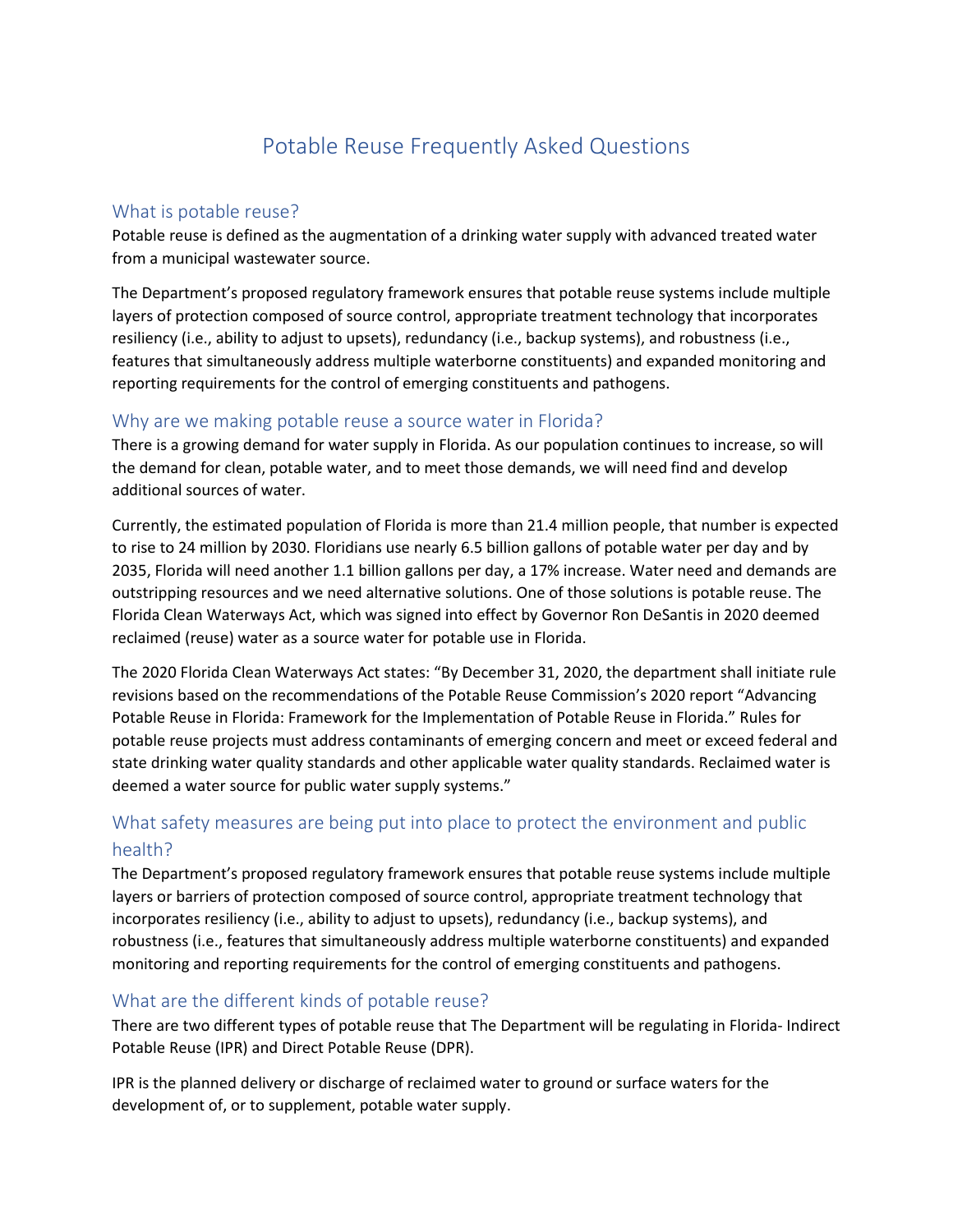# Potable Reuse Frequently Asked Questions

## What is potable reuse?

Potable reuse is defined as the augmentation of a drinking water supply with advanced treated water from a municipal wastewater source.

The Department's proposed regulatory framework ensures that potable reuse systems include multiple layers of protection composed of source control, appropriate treatment technology that incorporates resiliency (i.e., ability to adjust to upsets), redundancy (i.e., backup systems), and robustness (i.e., features that simultaneously address multiple waterborne constituents) and expanded monitoring and reporting requirements for the control of emerging constituents and pathogens.

#### Why are we making potable reuse a source water in Florida?

There is a growing demand for water supply in Florida. As our population continues to increase, so will the demand for clean, potable water, and to meet those demands, we will need find and develop additional sources of water.

Currently, the estimated population of Florida is more than 21.4 million people, that number is expected to rise to 24 million by 2030. Floridians use nearly 6.5 billion gallons of potable water per day and by 2035, Florida will need another 1.1 billion gallons per day, a 17% increase. Water need and demands are outstripping resources and we need alternative solutions. One of those solutions is potable reuse. The Florida Clean Waterways Act, which was signed into effect by Governor Ron DeSantis in 2020 deemed reclaimed (reuse) water as a source water for potable use in Florida.

The 2020 Florida Clean Waterways Act states: "By December 31, 2020, the department shall initiate rule revisions based on the recommendations of the Potable Reuse Commission's 2020 report "Advancing Potable Reuse in Florida: Framework for the Implementation of Potable Reuse in Florida." Rules for potable reuse projects must address contaminants of emerging concern and meet or exceed federal and state drinking water quality standards and other applicable water quality standards. Reclaimed water is deemed a water source for public water supply systems."

# What safety measures are being put into place to protect the environment and public health?

The Department's proposed regulatory framework ensures that potable reuse systems include multiple layers or barriers of protection composed of source control, appropriate treatment technology that incorporates resiliency (i.e., ability to adjust to upsets), redundancy (i.e., backup systems), and robustness (i.e., features that simultaneously address multiple waterborne constituents) and expanded monitoring and reporting requirements for the control of emerging constituents and pathogens.

# What are the different kinds of potable reuse?

There are two different types of potable reuse that The Department will be regulating in Florida- Indirect Potable Reuse (IPR) and Direct Potable Reuse (DPR).

IPR is the planned delivery or discharge of reclaimed water to ground or surface waters for the development of, or to supplement, potable water supply.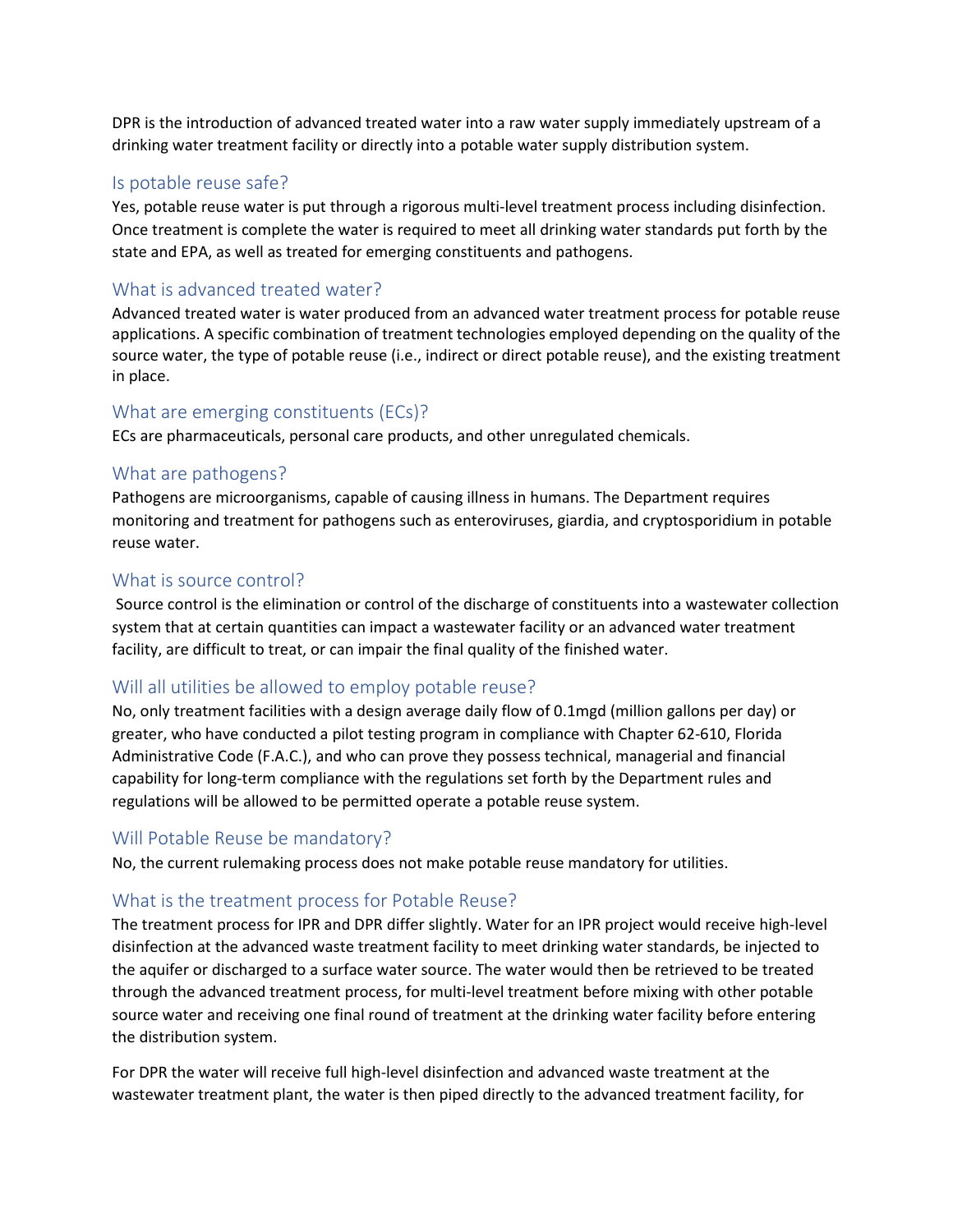DPR is the introduction of advanced treated water into a raw water supply immediately upstream of a drinking water treatment facility or directly into a potable water supply distribution system.

## Is potable reuse safe?

Yes, potable reuse water is put through a rigorous multi-level treatment process including disinfection. Once treatment is complete the water is required to meet all drinking water standards put forth by the state and EPA, as well as treated for emerging constituents and pathogens.

# What is advanced treated water?

Advanced treated water is water produced from an advanced water treatment process for potable reuse applications. A specific combination of treatment technologies employed depending on the quality of the source water, the type of potable reuse (i.e., indirect or direct potable reuse), and the existing treatment in place.

#### What are emerging constituents (ECs)?

ECs are pharmaceuticals, personal care products, and other unregulated chemicals.

## What are pathogens?

Pathogens are microorganisms, capable of causing illness in humans. The Department requires monitoring and treatment for pathogens such as enteroviruses, giardia, and cryptosporidium in potable reuse water.

## What is source control?

Source control is the elimination or control of the discharge of constituents into a wastewater collection system that at certain quantities can impact a wastewater facility or an advanced water treatment facility, are difficult to treat, or can impair the final quality of the finished water.

# Will all utilities be allowed to employ potable reuse?

No, only treatment facilities with a design average daily flow of 0.1mgd (million gallons per day) or greater, who have conducted a pilot testing program in compliance with Chapter 62-610, Florida Administrative Code (F.A.C.), and who can prove they possess technical, managerial and financial capability for long-term compliance with the regulations set forth by the Department rules and regulations will be allowed to be permitted operate a potable reuse system.

#### Will Potable Reuse be mandatory?

No, the current rulemaking process does not make potable reuse mandatory for utilities.

#### What is the treatment process for Potable Reuse?

The treatment process for IPR and DPR differ slightly. Water for an IPR project would receive high-level disinfection at the advanced waste treatment facility to meet drinking water standards, be injected to the aquifer or discharged to a surface water source. The water would then be retrieved to be treated through the advanced treatment process, for multi-level treatment before mixing with other potable source water and receiving one final round of treatment at the drinking water facility before entering the distribution system.

For DPR the water will receive full high-level disinfection and advanced waste treatment at the wastewater treatment plant, the water is then piped directly to the advanced treatment facility, for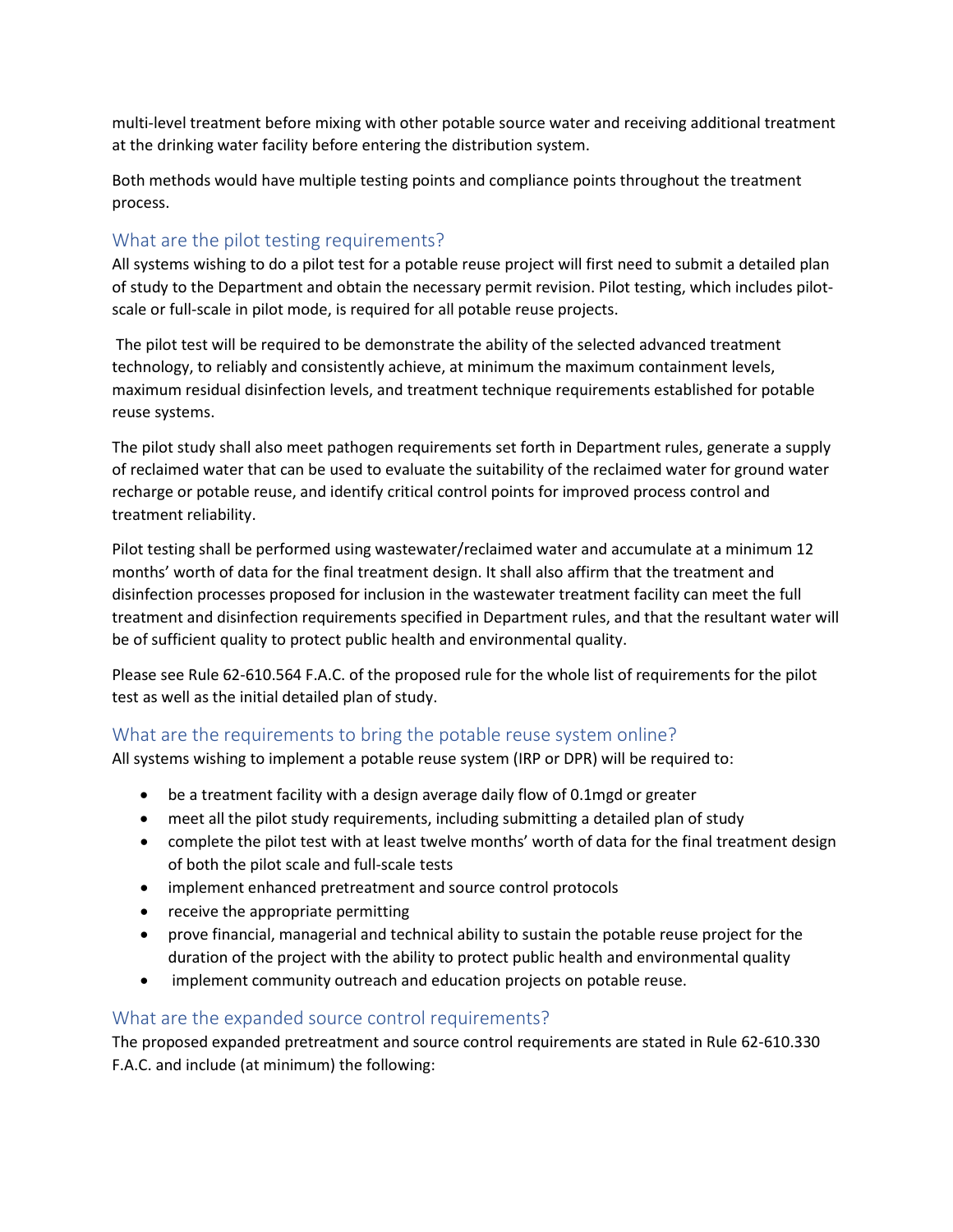multi-level treatment before mixing with other potable source water and receiving additional treatment at the drinking water facility before entering the distribution system.

Both methods would have multiple testing points and compliance points throughout the treatment process.

## What are the pilot testing requirements?

All systems wishing to do a pilot test for a potable reuse project will first need to submit a detailed plan of study to the Department and obtain the necessary permit revision. Pilot testing, which includes pilotscale or full-scale in pilot mode, is required for all potable reuse projects.

The pilot test will be required to be demonstrate the ability of the selected advanced treatment technology, to reliably and consistently achieve, at minimum the maximum containment levels, maximum residual disinfection levels, and treatment technique requirements established for potable reuse systems.

The pilot study shall also meet pathogen requirements set forth in Department rules, generate a supply of reclaimed water that can be used to evaluate the suitability of the reclaimed water for ground water recharge or potable reuse, and identify critical control points for improved process control and treatment reliability.

Pilot testing shall be performed using wastewater/reclaimed water and accumulate at a minimum 12 months' worth of data for the final treatment design. It shall also affirm that the treatment and disinfection processes proposed for inclusion in the wastewater treatment facility can meet the full treatment and disinfection requirements specified in Department rules, and that the resultant water will be of sufficient quality to protect public health and environmental quality.

Please see Rule 62-610.564 F.A.C. of the proposed rule for the whole list of requirements for the pilot test as well as the initial detailed plan of study.

# What are the requirements to bring the potable reuse system online?

All systems wishing to implement a potable reuse system (IRP or DPR) will be required to:

- be a treatment facility with a design average daily flow of 0.1mgd or greater
- meet all the pilot study requirements, including submitting a detailed plan of study
- complete the pilot test with at least twelve months' worth of data for the final treatment design of both the pilot scale and full-scale tests
- implement enhanced pretreatment and source control protocols
- receive the appropriate permitting
- prove financial, managerial and technical ability to sustain the potable reuse project for the duration of the project with the ability to protect public health and environmental quality
- implement community outreach and education projects on potable reuse.

#### What are the expanded source control requirements?

The proposed expanded pretreatment and source control requirements are stated in Rule 62-610.330 F.A.C. and include (at minimum) the following: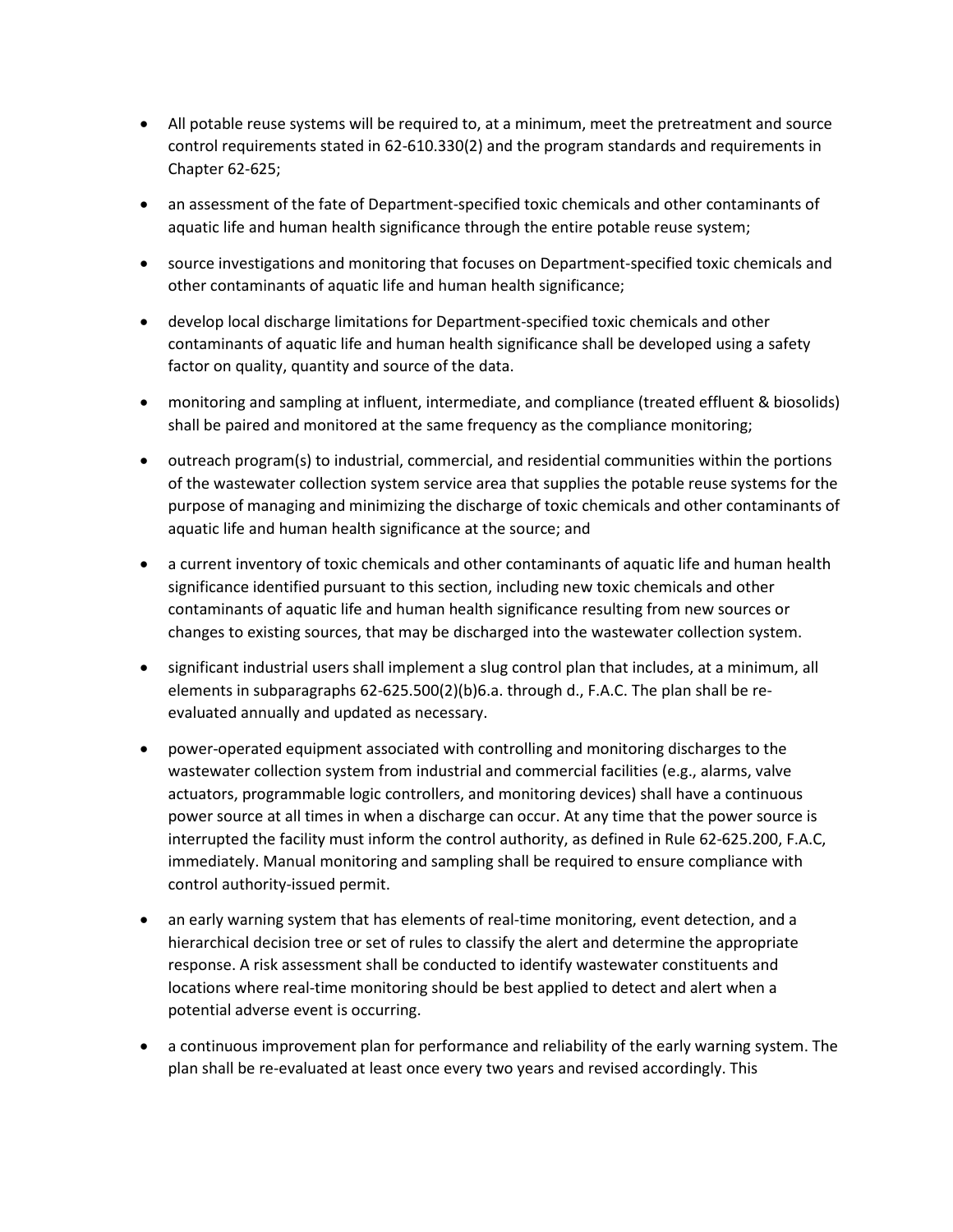- All potable reuse systems will be required to, at a minimum, meet the pretreatment and source control requirements stated in 62-610.330(2) and the program standards and requirements in Chapter 62-625;
- an assessment of the fate of Department-specified toxic chemicals and other contaminants of aquatic life and human health significance through the entire potable reuse system;
- source investigations and monitoring that focuses on Department-specified toxic chemicals and other contaminants of aquatic life and human health significance;
- develop local discharge limitations for Department-specified toxic chemicals and other contaminants of aquatic life and human health significance shall be developed using a safety factor on quality, quantity and source of the data.
- monitoring and sampling at influent, intermediate, and compliance (treated effluent & biosolids) shall be paired and monitored at the same frequency as the compliance monitoring;
- outreach program(s) to industrial, commercial, and residential communities within the portions of the wastewater collection system service area that supplies the potable reuse systems for the purpose of managing and minimizing the discharge of toxic chemicals and other contaminants of aquatic life and human health significance at the source; and
- a current inventory of toxic chemicals and other contaminants of aquatic life and human health significance identified pursuant to this section, including new toxic chemicals and other contaminants of aquatic life and human health significance resulting from new sources or changes to existing sources, that may be discharged into the wastewater collection system.
- significant industrial users shall implement a slug control plan that includes, at a minimum, all elements in subparagraphs 62-625.500(2)(b)6.a. through d., F.A.C. The plan shall be reevaluated annually and updated as necessary.
- power-operated equipment associated with controlling and monitoring discharges to the wastewater collection system from industrial and commercial facilities (e.g., alarms, valve actuators, programmable logic controllers, and monitoring devices) shall have a continuous power source at all times in when a discharge can occur. At any time that the power source is interrupted the facility must inform the control authority, as defined in Rule 62-625.200, F.A.C, immediately. Manual monitoring and sampling shall be required to ensure compliance with control authority-issued permit.
- an early warning system that has elements of real-time monitoring, event detection, and a hierarchical decision tree or set of rules to classify the alert and determine the appropriate response. A risk assessment shall be conducted to identify wastewater constituents and locations where real-time monitoring should be best applied to detect and alert when a potential adverse event is occurring.
- a continuous improvement plan for performance and reliability of the early warning system. The plan shall be re-evaluated at least once every two years and revised accordingly. This